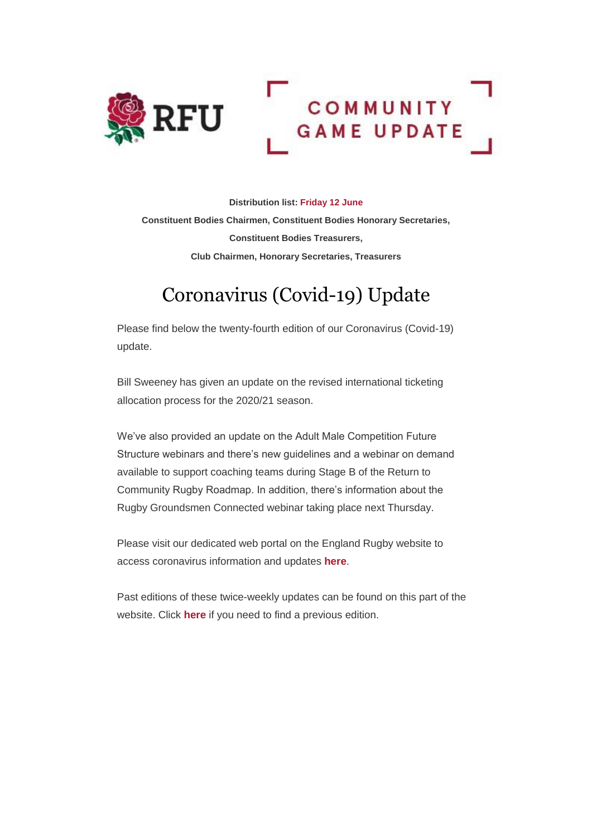

**Distribution list: Friday 12 June Constituent Bodies Chairmen, Constituent Bodies Honorary Secretaries, Constituent Bodies Treasurers, Club Chairmen, Honorary Secretaries, Treasurers** 

# Coronavirus (Covid-19) Update

Please find below the twenty-fourth edition of our Coronavirus (Covid-19) update.

Bill Sweeney has given an update on the revised international ticketing allocation process for the 2020/21 season.

We've also provided an update on the Adult Male Competition Future Structure webinars and there's new guidelines and a webinar on demand available to support coaching teams during Stage B of the Return to Community Rugby Roadmap. In addition, there's information about the Rugby Groundsmen Connected webinar taking place next Thursday.

Please visit our dedicated web portal on the England Rugby website to access coronavirus information and updates **[here](http://links.emails.rfumail.com/ctt?ms=OTY0ODUxNAS2&kn=9&r=MTY5NjUyMTU4MDAzS0&b=0&j=MTUzMTgzNjY0OAS2&mt=1&rt=0)**.

Past editions of these twice-weekly updates can be found on this part of the website. Click **[here](http://links.emails.rfumail.com/ctt?ms=OTY0ODUxNAS2&kn=4&r=MTY5NjUyMTU4MDAzS0&b=0&j=MTUzMTgzNjY0OAS2&mt=1&rt=0)** if you need to find a previous edition.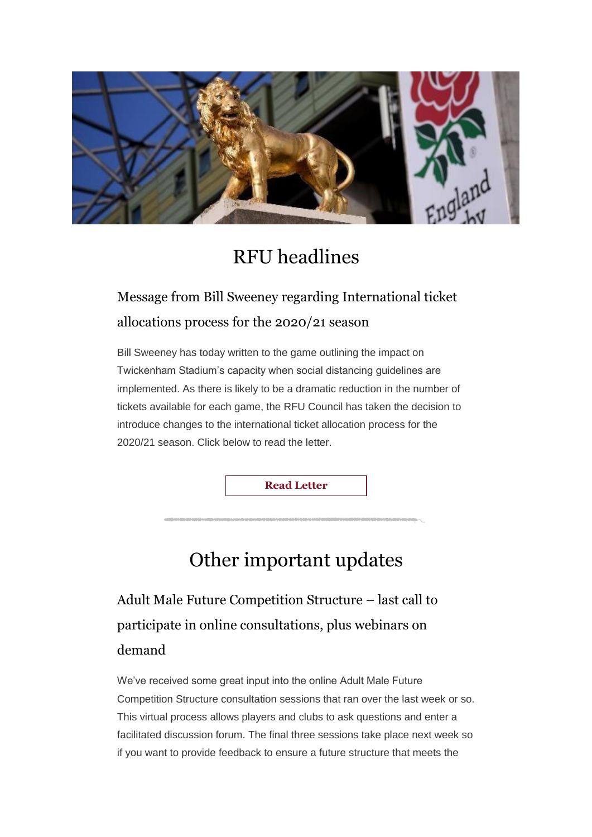

## RFU headlines

## Message from Bill Sweeney regarding International ticket allocations process for the 2020/21 season

Bill Sweeney has today written to the game outlining the impact on Twickenham Stadium's capacity when social distancing guidelines are implemented. As there is likely to be a dramatic reduction in the number of tickets available for each game, the RFU Council has taken the decision to introduce changes to the international ticket allocation process for the 2020/21 season. Click below to read the letter.

**[Read Letter](http://links.emails.rfumail.com/ctt?ms=OTY0ODUxNAS2&kn=22&r=MTY5NjUyMTU4MDAzS0&b=0&j=MTUzMTgzNjY0OAS2&mt=1&rt=0)**

# Other important updates

Adult Male Future Competition Structure – last call to participate in online consultations, plus webinars on demand

We've received some great input into the online Adult Male Future Competition Structure consultation sessions that ran over the last week or so. This virtual process allows players and clubs to ask questions and enter a facilitated discussion forum. The final three sessions take place next week so if you want to provide feedback to ensure a future structure that meets the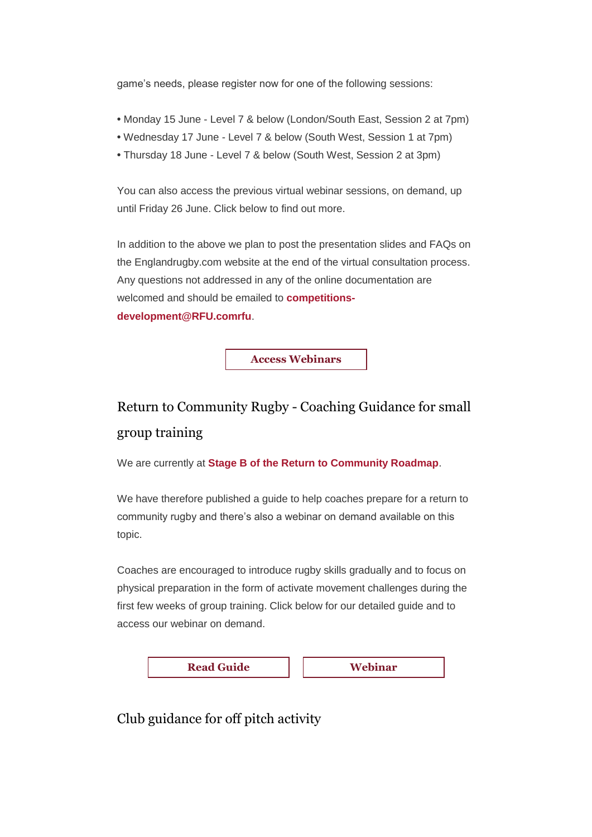game's needs, please register now for one of the following sessions:

- **•** Monday 15 June Level 7 & below (London/South East, Session 2 at 7pm)
- **•** Wednesday 17 June Level 7 & below (South West, Session 1 at 7pm)
- **•** Thursday 18 June Level 7 & below (South West, Session 2 at 3pm)

You can also access the previous virtual webinar sessions, on demand, up until Friday 26 June. Click below to find out more.

In addition to the above we plan to post the presentation slides and FAQs on the Englandrugby.com website at the end of the virtual consultation process. Any questions not addressed in any of the online documentation are welcomed and should be emailed to **[competitions](mailto:competitions-development@rfu.com)[development@RFU.comrfu](mailto:competitions-development@rfu.com)**.

**[Access Webinars](http://links.emails.rfumail.com/ctt?ms=OTY0ODUxNAS2&kn=15&r=MTY5NjUyMTU4MDAzS0&b=0&j=MTUzMTgzNjY0OAS2&mt=1&rt=0)**

## Return to Community Rugby - Coaching Guidance for small group training

We are currently at **[Stage B of the Return to Community Roadmap](http://links.emails.rfumail.com/ctt?ms=OTY0ODUxNAS2&kn=24&r=MTY5NjUyMTU4MDAzS0&b=0&j=MTUzMTgzNjY0OAS2&mt=1&rt=0)**.

We have therefore published a guide to help coaches prepare for a return to community rugby and there's also a webinar on demand available on this topic.

Coaches are encouraged to introduce rugby skills gradually and to focus on physical preparation in the form of activate movement challenges during the first few weeks of group training. Click below for our detailed guide and to access our webinar on demand.



Club guidance for off pitch activity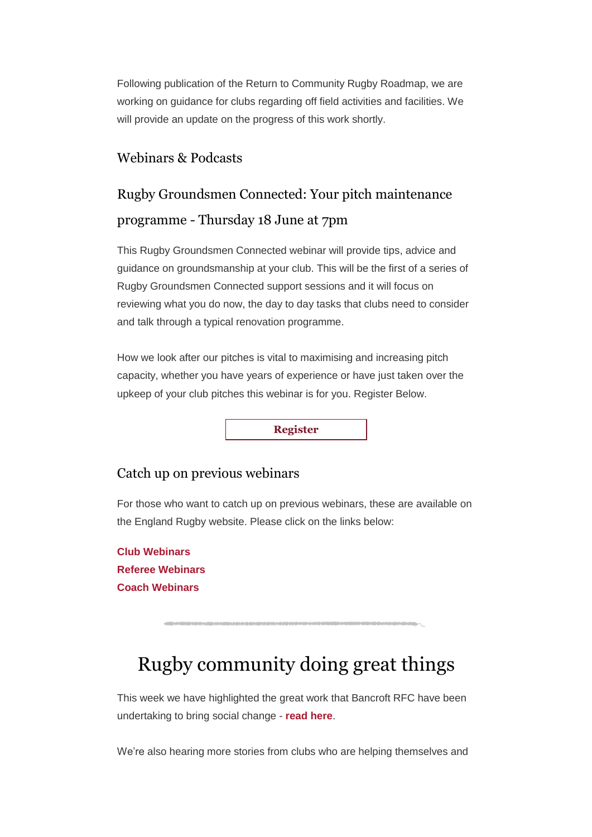Following publication of the Return to Community Rugby Roadmap, we are working on guidance for clubs regarding off field activities and facilities. We will provide an update on the progress of this work shortly.

### Webinars & Podcasts

## Rugby Groundsmen Connected: Your pitch maintenance programme - Thursday 18 June at 7pm

This Rugby Groundsmen Connected webinar will provide tips, advice and guidance on groundsmanship at your club. This will be the first of a series of Rugby Groundsmen Connected support sessions and it will focus on reviewing what you do now, the day to day tasks that clubs need to consider and talk through a typical renovation programme.

How we look after our pitches is vital to maximising and increasing pitch capacity, whether you have years of experience or have just taken over the upkeep of your club pitches this webinar is for you. Register Below.

**[Register](http://links.emails.rfumail.com/ctt?ms=OTY0ODUxNAS2&kn=10&r=MTY5NjUyMTU4MDAzS0&b=0&j=MTUzMTgzNjY0OAS2&mt=1&rt=0)**

### Catch up on previous webinars

For those who want to catch up on previous webinars, these are available on the England Rugby website. Please click on the links below:

**[Club Webinars](http://links.emails.rfumail.com/ctt?ms=OTY0ODUxNAS2&kn=1&r=MTY5NjUyMTU4MDAzS0&b=0&j=MTUzMTgzNjY0OAS2&mt=1&rt=0) [Referee Webinars](http://links.emails.rfumail.com/ctt?ms=OTY0ODUxNAS2&kn=27&r=MTY5NjUyMTU4MDAzS0&b=0&j=MTUzMTgzNjY0OAS2&mt=1&rt=0) [Coach Webinars](http://links.emails.rfumail.com/ctt?ms=OTY0ODUxNAS2&kn=23&r=MTY5NjUyMTU4MDAzS0&b=0&j=MTUzMTgzNjY0OAS2&mt=1&rt=0)**

# Rugby community doing great things

This week we have highlighted the great work that Bancroft RFC have been undertaking to bring social change - **[read here](http://links.emails.rfumail.com/ctt?ms=OTY0ODUxNAS2&kn=11&r=MTY5NjUyMTU4MDAzS0&b=0&j=MTUzMTgzNjY0OAS2&mt=1&rt=0)**.

We're also hearing more stories from clubs who are helping themselves and